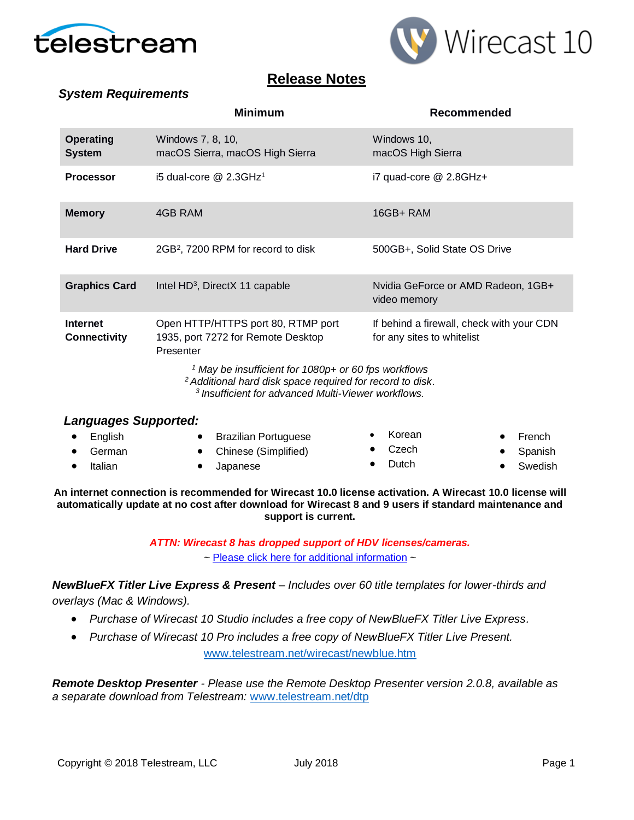

*System Requirements*



## **Release Notes**

|                                   | <b>Minimum</b>                                       | Recommended                                        |
|-----------------------------------|------------------------------------------------------|----------------------------------------------------|
| <b>Operating</b><br><b>System</b> | Windows 7, 8, 10,<br>macOS Sierra, macOS High Sierra | Windows 10,<br>macOS High Sierra                   |
| <b>Processor</b>                  | i5 dual-core $@$ 2.3GHz <sup>1</sup>                 | i7 quad-core @ 2.8GHz+                             |
| <b>Memory</b>                     | 4GB RAM                                              | $16GB + RAM$                                       |
| <b>Hard Drive</b>                 | 2GB <sup>2</sup> , 7200 RPM for record to disk       | 500GB+, Solid State OS Drive                       |
| <b>Graphics Card</b>              | Intel $HD^3$ , DirectX 11 capable                    | Nvidia GeForce or AMD Radeon, 1GB+<br>video memory |

**Internet Connectivity** Open HTTP/HTTPS port 80, RTMP port 1935, port 7272 for Remote Desktop Presenter If behind a firewall, check with your CDN for any sites to whitelist

*<sup>1</sup> May be insufficient for 1080p+ or 60 fps workflows*

*<sup>2</sup>Additional hard disk space required for record to disk*.

*<sup>3</sup>Insufficient for advanced Multi-Viewer workflows.*

#### *Languages Supported:*

| $\bullet$ English | <b>Brazilian Portuguese</b> | • Korean        | $\bullet$ French |
|-------------------|-----------------------------|-----------------|------------------|
| $\bullet$ German  | • Chinese (Simplified)      | $\bullet$ Czech | • Spanish        |
| $\bullet$ Italian | Japanese                    | $\bullet$ Dutch | • Swedish        |

**An internet connection is recommended for Wirecast 10.0 license activation. A Wirecast 10.0 license will automatically update at no cost after download for Wirecast 8 and 9 users if standard maintenance and support is current.**

> *ATTN: Wirecast 8 has dropped support of HDV licenses/cameras.*   $\sim$  [Please click here for additional information](http://www.telestream.net/telestream-support/wire-cast/faq.htm?kbURL=http://telestream.force.com/kb/articles/Knowledge_Article/Wirecast-HDV-Firewire-No-longer-Supported/)  $\sim$

*NewBlueFX Titler Live Express & Present – Includes over 60 title templates for lower-thirds and overlays (Mac & Windows).*

- *Purchase of Wirecast 10 Studio includes a free copy of NewBlueFX Titler Live Express.*
- *Purchase of Wirecast 10 Pro includes a free copy of NewBlueFX Titler Live Present.*  [www.telestream.net/wirecast/newblue.htm](http://www.telestream.net/wirecast/newblue.htm)

*Remote Desktop Presenter - Please use the Remote Desktop Presenter version 2.0.8, available as a separate download from Telestream:* [www.telestream.net/dtp](http://www.telestream.net/dtp)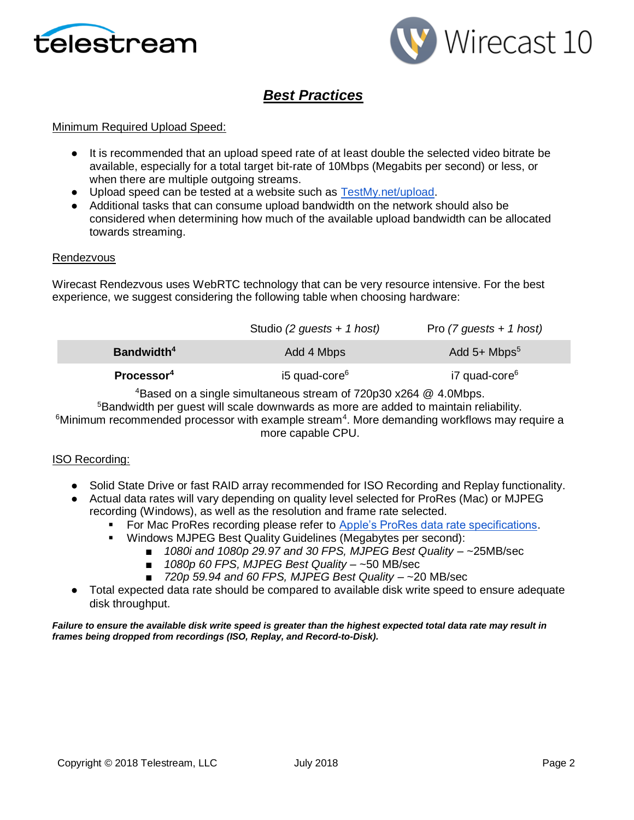



# *Best Practices*

#### Minimum Required Upload Speed:

- It is recommended that an upload speed rate of at least double the selected video bitrate be available, especially for a total target bit-rate of 10Mbps (Megabits per second) or less, or when there are multiple outgoing streams.
- Upload speed can be tested at a website such as [TestMy.net/upload.](http://testmy.net/upload)
- Additional tasks that can consume upload bandwidth on the network should also be considered when determining how much of the available upload bandwidth can be allocated towards streaming.

#### Rendezvous

Wirecast Rendezvous uses WebRTC technology that can be very resource intensive. For the best experience, we suggest considering the following table when choosing hardware:

|                        | Studio (2 guests + 1 host) | Pro $(7$ guests + 1 host)  |
|------------------------|----------------------------|----------------------------|
| Bandwidth <sup>4</sup> | Add 4 Mbps                 | Add $5+$ Mbps <sup>5</sup> |
| Processor <sup>4</sup> | i5 quad-core <sup>6</sup>  | i7 quad-core <sup>6</sup>  |

<sup>4</sup>Based on a single simultaneous stream of 720p30 x264 @ 4.0Mbps.

<sup>5</sup>Bandwidth per quest will scale downwards as more are added to maintain reliability.  $6$ Minimum recommended processor with example stream<sup>4</sup>. More demanding workflows may require a more capable CPU.

#### ISO Recording:

- Solid State Drive or fast RAID array recommended for ISO Recording and Replay functionality.
- Actual data rates will vary depending on quality level selected for ProRes (Mac) or MJPEG recording (Windows), as well as the resolution and frame rate selected.
	- For Mac ProRes recording please refer to [Apple's ProRes data rate specifications.](https://documentation.apple.com/en/finalcutpro/professionalformatsandworkflows/index.html)
	- Windows MJPEG Best Quality Guidelines (Megabytes per second):
		- *1080i and 1080p 29.97 and 30 FPS, MJPEG Best Quality* ~25MB/sec
		- *1080p 60 FPS, MJPEG Best Quality* ~50 MB/sec
		- *720p 59.94 and 60 FPS, MJPEG Best Quality* ~20 MB/sec
- Total expected data rate should be compared to available disk write speed to ensure adequate disk throughput.

#### *Failure to ensure the available disk write speed is greater than the highest expected total data rate may result in frames being dropped from recordings (ISO, Replay, and Record-to-Disk).*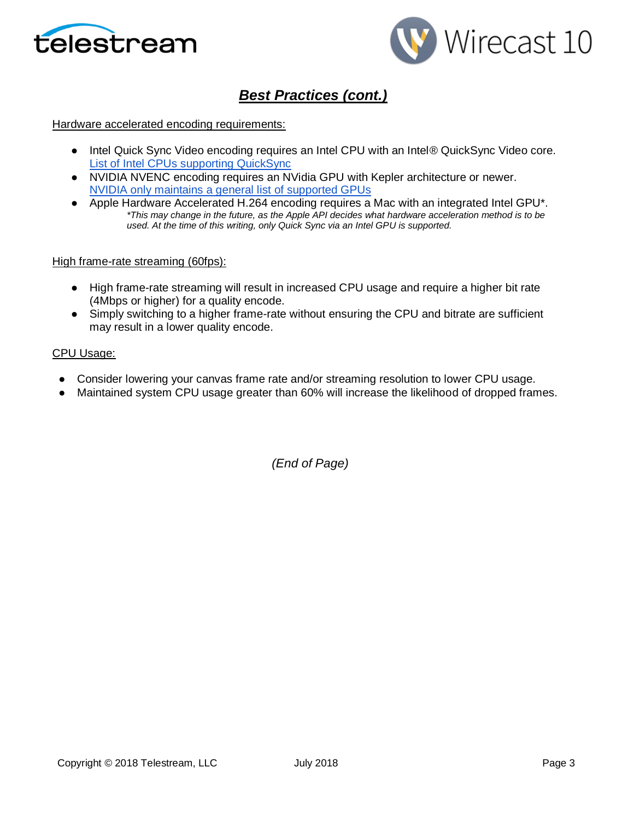



# *Best Practices (cont.)*

#### Hardware accelerated encoding requirements:

- Intel Quick Sync Video encoding requires an Intel CPU with an Intel® QuickSync Video core[.](http://ark.intel.com/search/advanced?QuickSyncVideo=true&MarketSegment=DT) [List of Intel CPUs supporting QuickSync](http://ark.intel.com/search/advanced?QuickSyncVideo=true&MarketSegment=DT)
- NVIDIA NVENC encoding requires an NVidia GPU with Kepler architecture or newer[.](https://developer.nvidia.com/nvidia-video-codec-sdk) [NVIDIA only maintains a general list of supported GPUs](https://developer.nvidia.com/nvidia-video-codec-sdk)
- Apple Hardware Accelerated H.264 encoding requires a Mac with an integrated Intel GPU\*. *\*This may change in the future, as the Apple API decides what hardware acceleration method is to be used. At the time of this writing, only Quick Sync via an Intel GPU is supported.*

#### High frame-rate streaming (60fps):

- High frame-rate streaming will result in increased CPU usage and require a higher bit rate (4Mbps or higher) for a quality encode.
- Simply switching to a higher frame-rate without ensuring the CPU and bitrate are sufficient may result in a lower quality encode.

#### CPU Usage:

- Consider lowering your canvas frame rate and/or streaming resolution to lower CPU usage.
- Maintained system CPU usage greater than 60% will increase the likelihood of dropped frames.

*(End of Page)*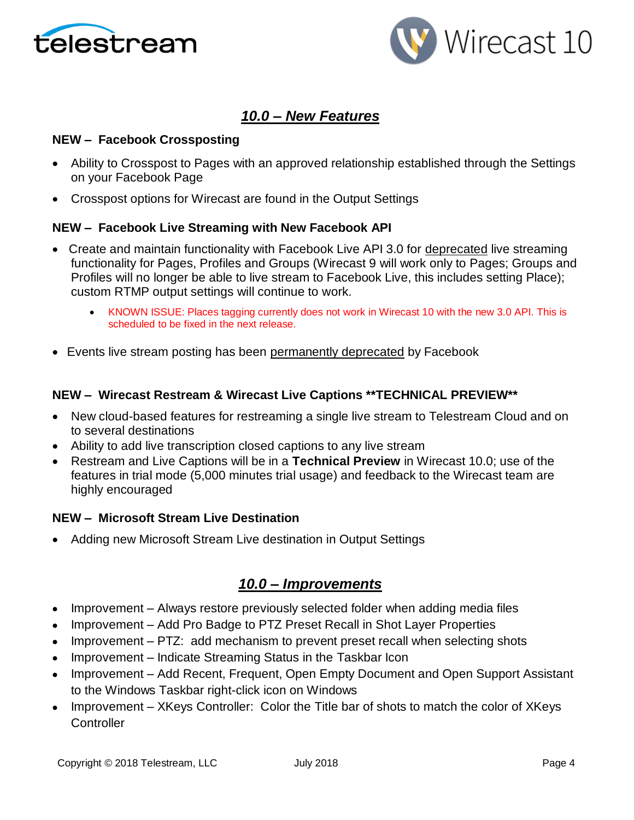



## *10.0 – New Features*

### **NEW – Facebook Crossposting**

- Ability to Crosspost to Pages with an approved relationship established through the Settings on your Facebook Page
- Crosspost options for Wirecast are found in the Output Settings

### **NEW – Facebook Live Streaming with New Facebook API**

- Create and maintain functionality with Facebook Live API 3.0 for deprecated live streaming functionality for Pages, Profiles and Groups (Wirecast 9 will work only to Pages; Groups and Profiles will no longer be able to live stream to Facebook Live, this includes setting Place); custom RTMP output settings will continue to work.
	- KNOWN ISSUE: Places tagging currently does not work in Wirecast 10 with the new 3.0 API. This is scheduled to be fixed in the next release.
- Events live stream posting has been permanently deprecated by Facebook

### **NEW – Wirecast Restream & Wirecast Live Captions \*\*TECHNICAL PREVIEW\*\***

- New cloud-based features for restreaming a single live stream to Telestream Cloud and on to several destinations
- Ability to add live transcription closed captions to any live stream
- Restream and Live Captions will be in a **Technical Preview** in Wirecast 10.0; use of the features in trial mode (5,000 minutes trial usage) and feedback to the Wirecast team are highly encouraged

### **NEW – Microsoft Stream Live Destination**

• Adding new Microsoft Stream Live destination in Output Settings

## *10.0 – Improvements*

- Improvement Always restore previously selected folder when adding media files
- Improvement Add Pro Badge to PTZ Preset Recall in Shot Layer Properties
- Improvement PTZ: add mechanism to prevent preset recall when selecting shots
- Improvement Indicate Streaming Status in the Taskbar Icon
- Improvement Add Recent, Frequent, Open Empty Document and Open Support Assistant to the Windows Taskbar right-click icon on Windows
- Improvement XKeys Controller: Color the Title bar of shots to match the color of XKeys **Controller**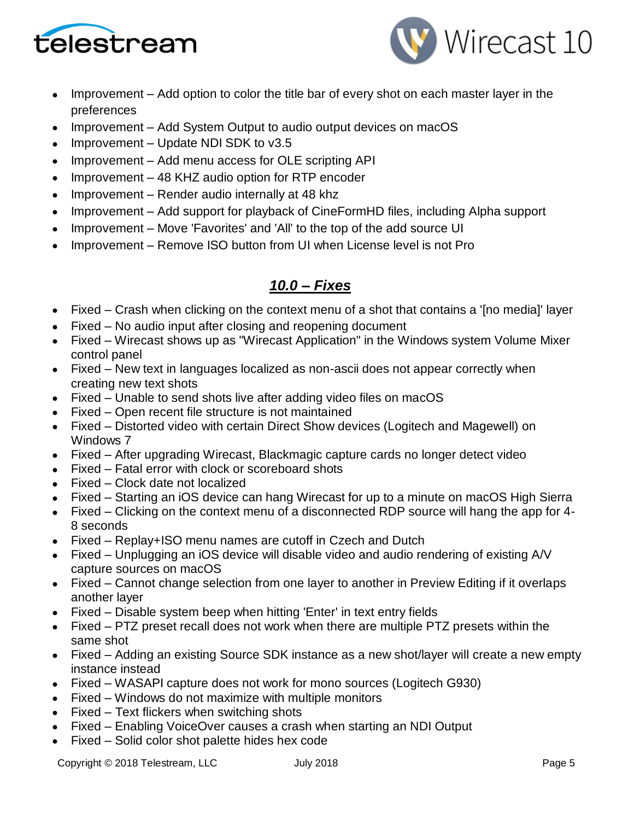



- Improvement Add option to color the title bar of every shot on each master layer in the preferences
- Improvement Add System Output to audio output devices on macOS
- Improvement Update NDI SDK to v3.5
- Improvement Add menu access for OLE scripting API
- Improvement 48 KHZ audio option for RTP encoder
- Improvement Render audio internally at 48 khz
- Improvement Add support for playback of CineFormHD files, including Alpha support
- Improvement Move 'Favorites' and 'All' to the top of the add source UI
- Improvement Remove ISO button from UI when License level is not Pro

## *10.0 – Fixes*

- Fixed Crash when clicking on the context menu of a shot that contains a '[no media]' layer
- Fixed No audio input after closing and reopening document
- Fixed Wirecast shows up as "Wirecast Application" in the Windows system Volume Mixer control panel
- Fixed New text in languages localized as non-ascii does not appear correctly when creating new text shots
- Fixed Unable to send shots live after adding video files on macOS
- Fixed Open recent file structure is not maintained
- Fixed Distorted video with certain Direct Show devices (Logitech and Magewell) on Windows 7
- Fixed After upgrading Wirecast, Blackmagic capture cards no longer detect video
- Fixed Fatal error with clock or scoreboard shots
- Fixed Clock date not localized
- Fixed Starting an iOS device can hang Wirecast for up to a minute on macOS High Sierra
- Fixed Clicking on the context menu of a disconnected RDP source will hang the app for 4- 8 seconds
- Fixed Replay+ISO menu names are cutoff in Czech and Dutch
- Fixed Unplugging an iOS device will disable video and audio rendering of existing A/V capture sources on macOS
- Fixed Cannot change selection from one layer to another in Preview Editing if it overlaps another layer
- Fixed Disable system beep when hitting 'Enter' in text entry fields
- Fixed PTZ preset recall does not work when there are multiple PTZ presets within the same shot
- Fixed Adding an existing Source SDK instance as a new shot/layer will create a new empty instance instead
- Fixed WASAPI capture does not work for mono sources (Logitech G930)
- Fixed Windows do not maximize with multiple monitors
- Fixed Text flickers when switching shots
- Fixed Enabling VoiceOver causes a crash when starting an NDI Output
- Fixed Solid color shot palette hides hex code